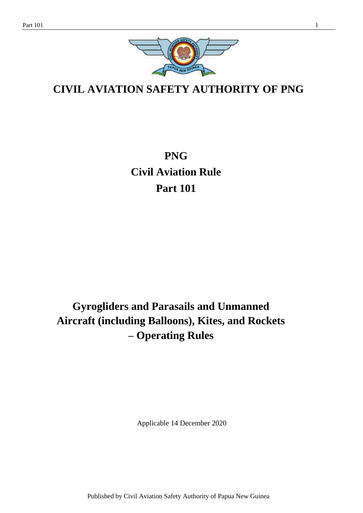

**CIVIL AVIATION SAFETY AUTHORITY OF PNG**

**PNG Civil Aviation Rule Part 101**

# **Gyrogliders and Parasails and Unmanned Aircraft (including Balloons), Kites, and Rockets – Operating Rules**

Applicable 14 December 2020

Published by Civil Aviation Safety Authority of Papua New Guinea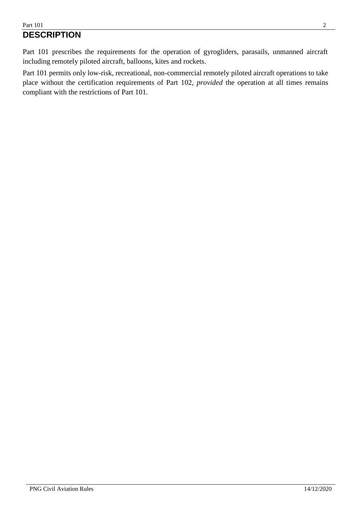Part 101 prescribes the requirements for the operation of gyrogliders, parasails, unmanned aircraft including remotely piloted aircraft, balloons, kites and rockets.

Part 101 permits only low-risk, recreational, non-commercial remotely piloted aircraft operations to take place without the certification requirements of Part 102, *provided* the operation at all times remains compliant with the restrictions of Part 101.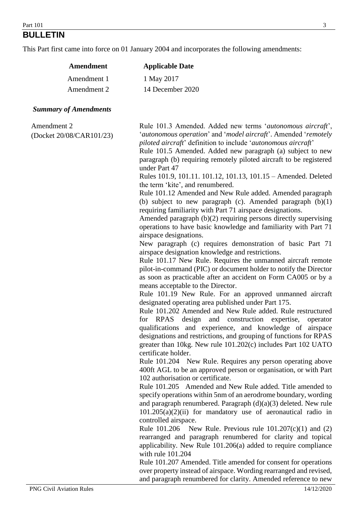## **BULLETIN**

This Part first came into force on 01 January 2004 and incorporates the following amendments:

|                                         | Amendment   | <b>Applicable Date</b>                                                                                                                                                                                                                                                                                                                                                                                                                                                                                                                                                                                                                                                                                                                                                                                                                                                                                                                                                                                                                                                                                                                                                                                                                                                                                                                                                                                                                                                                                                                                                                                                                                                                                                                                                                                                                                                                                                                                                                                                                                                                                                                                                                                                                                                                                                                                                                                                                                                                                                                                           |
|-----------------------------------------|-------------|------------------------------------------------------------------------------------------------------------------------------------------------------------------------------------------------------------------------------------------------------------------------------------------------------------------------------------------------------------------------------------------------------------------------------------------------------------------------------------------------------------------------------------------------------------------------------------------------------------------------------------------------------------------------------------------------------------------------------------------------------------------------------------------------------------------------------------------------------------------------------------------------------------------------------------------------------------------------------------------------------------------------------------------------------------------------------------------------------------------------------------------------------------------------------------------------------------------------------------------------------------------------------------------------------------------------------------------------------------------------------------------------------------------------------------------------------------------------------------------------------------------------------------------------------------------------------------------------------------------------------------------------------------------------------------------------------------------------------------------------------------------------------------------------------------------------------------------------------------------------------------------------------------------------------------------------------------------------------------------------------------------------------------------------------------------------------------------------------------------------------------------------------------------------------------------------------------------------------------------------------------------------------------------------------------------------------------------------------------------------------------------------------------------------------------------------------------------------------------------------------------------------------------------------------------------|
|                                         | Amendment 1 | 1 May 2017                                                                                                                                                                                                                                                                                                                                                                                                                                                                                                                                                                                                                                                                                                                                                                                                                                                                                                                                                                                                                                                                                                                                                                                                                                                                                                                                                                                                                                                                                                                                                                                                                                                                                                                                                                                                                                                                                                                                                                                                                                                                                                                                                                                                                                                                                                                                                                                                                                                                                                                                                       |
|                                         | Amendment 2 | 14 December 2020                                                                                                                                                                                                                                                                                                                                                                                                                                                                                                                                                                                                                                                                                                                                                                                                                                                                                                                                                                                                                                                                                                                                                                                                                                                                                                                                                                                                                                                                                                                                                                                                                                                                                                                                                                                                                                                                                                                                                                                                                                                                                                                                                                                                                                                                                                                                                                                                                                                                                                                                                 |
| <b>Summary of Amendments</b>            |             |                                                                                                                                                                                                                                                                                                                                                                                                                                                                                                                                                                                                                                                                                                                                                                                                                                                                                                                                                                                                                                                                                                                                                                                                                                                                                                                                                                                                                                                                                                                                                                                                                                                                                                                                                                                                                                                                                                                                                                                                                                                                                                                                                                                                                                                                                                                                                                                                                                                                                                                                                                  |
| Amendment 2<br>(Docket 20/08/CAR101/23) |             | Rule 101.3 Amended. Added new terms 'autonomous aircraft',<br>'autonomous operation' and 'model aircraft'. Amended 'remotely<br>piloted aircraft' definition to include 'autonomous aircraft'<br>Rule 101.5 Amended. Added new paragraph (a) subject to new<br>paragraph (b) requiring remotely piloted aircraft to be registered<br>under Part 47<br>Rules 101.9, 101.11. 101.12, 101.13, 101.15 - Amended. Deleted<br>the term 'kite', and renumbered.<br>Rule 101.12 Amended and New Rule added. Amended paragraph<br>(b) subject to new paragraph (c). Amended paragraph $(b)(1)$<br>requiring familiarity with Part 71 airspace designations.<br>Amended paragraph (b)(2) requiring persons directly supervising<br>operations to have basic knowledge and familiarity with Part 71<br>airspace designations.<br>New paragraph (c) requires demonstration of basic Part 71<br>airspace designation knowledge and restrictions.<br>Rule 101.17 New Rule. Requires the unmanned aircraft remote<br>pilot-in-command (PIC) or document holder to notify the Director<br>as soon as practicable after an accident on Form CA005 or by a<br>means acceptable to the Director.<br>Rule 101.19 New Rule. For an approved unmanned aircraft<br>designated operating area published under Part 175.<br>Rule 101.202 Amended and New Rule added. Rule restructured<br>for RPAS<br>design<br>and construction expertise,<br>operator<br>qualifications and experience, and knowledge of airspace<br>designations and restrictions, and grouping of functions for RPAS<br>greater than 10kg. New rule 101.202(c) includes Part 102 UATO<br>certificate holder.<br>Rule 101.204 New Rule. Requires any person operating above<br>400ft AGL to be an approved person or organisation, or with Part<br>102 authorisation or certificate.<br>Rule 101.205 Amended and New Rule added. Title amended to<br>specify operations within 5nm of an aerodrome boundary, wording<br>and paragraph renumbered. Paragraph $(d)(a)(3)$ deleted. New rule<br>$101.205(a)(2)(ii)$ for mandatory use of aeronautical radio in<br>controlled airspace.<br>Rule 101.206<br>New Rule. Previous rule $101.207(c)(1)$ and (2)<br>rearranged and paragraph renumbered for clarity and topical<br>applicability. New Rule 101.206(a) added to require compliance<br>with rule 101.204<br>Rule 101.207 Amended. Title amended for consent for operations<br>over property instead of airspace. Wording rearranged and revised,<br>and paragraph renumbered for clarity. Amended reference to new |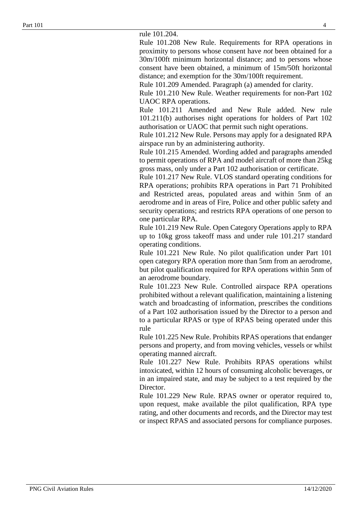rule 101.204.

Rule 101.208 New Rule. Requirements for RPA operations in proximity to persons whose consent have *not* been obtained for a 30m/100ft minimum horizontal distance; and to persons whose consent have been obtained, a minimum of 15m/50ft horizontal distance; and exemption for the 30m/100ft requirement.

Rule 101.209 Amended. Paragraph (a) amended for clarity.

Rule 101.210 New Rule. Weather requirements for non-Part 102 UAOC RPA operations.

Rule 101.211 Amended and New Rule added. New rule 101.211(b) authorises night operations for holders of Part 102 authorisation or UAOC that permit such night operations.

Rule 101.212 New Rule. Persons may apply for a designated RPA airspace run by an administering authority.

Rule 101.215 Amended. Wording added and paragraphs amended to permit operations of RPA and model aircraft of more than 25kg gross mass, only under a Part 102 authorisation or certificate.

Rule 101.217 New Rule. VLOS standard operating conditions for RPA operations; prohibits RPA operations in Part 71 Prohibited and Restricted areas, populated areas and within 5nm of an aerodrome and in areas of Fire, Police and other public safety and security operations; and restricts RPA operations of one person to one particular RPA.

Rule 101.219 New Rule. Open Category Operations apply to RPA up to 10kg gross takeoff mass and under rule 101.217 standard operating conditions.

Rule 101.221 New Rule. No pilot qualification under Part 101 open category RPA operation more than 5nm from an aerodrome, but pilot qualification required for RPA operations within 5nm of an aerodrome boundary.

Rule 101.223 New Rule. Controlled airspace RPA operations prohibited without a relevant qualification, maintaining a listening watch and broadcasting of information, prescribes the conditions of a Part 102 authorisation issued by the Director to a person and to a particular RPAS or type of RPAS being operated under this rule

Rule 101.225 New Rule. Prohibits RPAS operations that endanger persons and property, and from moving vehicles, vessels or whilst operating manned aircraft.

Rule 101.227 New Rule. Prohibits RPAS operations whilst intoxicated, within 12 hours of consuming alcoholic beverages, or in an impaired state, and may be subject to a test required by the Director.

Rule 101.229 New Rule. RPAS owner or operator required to, upon request, make available the pilot qualification, RPA type rating, and other documents and records, and the Director may test or inspect RPAS and associated persons for compliance purposes.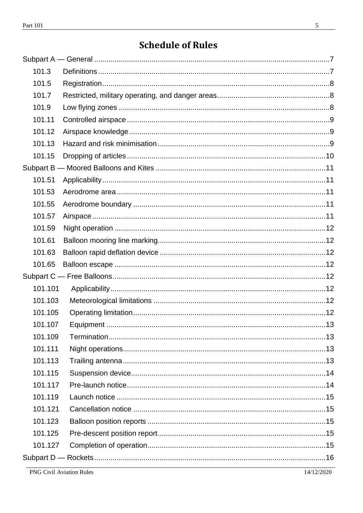| 101.3   |  |
|---------|--|
| 101.5   |  |
| 101.7   |  |
| 101.9   |  |
| 101.11  |  |
| 101.12  |  |
| 101.13  |  |
| 101.15  |  |
|         |  |
| 101.51  |  |
| 101.53  |  |
| 101.55  |  |
| 101.57  |  |
| 101.59  |  |
| 101.61  |  |
| 101.63  |  |
| 101.65  |  |
|         |  |
| 101.101 |  |
| 101.103 |  |
| 101.105 |  |
| 101.107 |  |
| 101.109 |  |
| 101.111 |  |
| 101.113 |  |
| 101.115 |  |
| 101.117 |  |
| 101.119 |  |
| 101.121 |  |
| 101.123 |  |
| 101.125 |  |
| 101.127 |  |
|         |  |

14/12/2020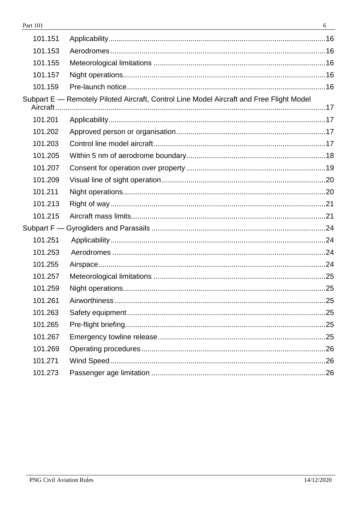| 101.151   |                                                                                          |  |
|-----------|------------------------------------------------------------------------------------------|--|
| 101.153   |                                                                                          |  |
| 101.155   |                                                                                          |  |
| 101.157   |                                                                                          |  |
| 101.159   |                                                                                          |  |
| Aircraft. | Subpart E - Remotely Piloted Aircraft, Control Line Model Aircraft and Free Flight Model |  |
| 101.201   |                                                                                          |  |
| 101.202   |                                                                                          |  |
| 101.203   |                                                                                          |  |
| 101.205   |                                                                                          |  |
| 101.207   |                                                                                          |  |
| 101.209   |                                                                                          |  |
| 101.211   |                                                                                          |  |
| 101.213   |                                                                                          |  |
| 101.215   |                                                                                          |  |
|           |                                                                                          |  |
| 101.251   |                                                                                          |  |
| 101.253   |                                                                                          |  |
| 101.255   |                                                                                          |  |
| 101.257   |                                                                                          |  |
| 101.259   |                                                                                          |  |
| 101.261   |                                                                                          |  |
| 101.263   |                                                                                          |  |
| 101.265   |                                                                                          |  |
| 101.267   |                                                                                          |  |
| 101.269   |                                                                                          |  |
| 101.271   |                                                                                          |  |
| 101.273   |                                                                                          |  |
|           |                                                                                          |  |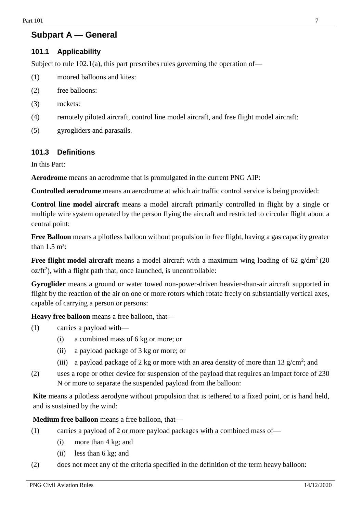## <span id="page-6-0"></span>**Subpart A — General**

## **101.1 Applicability**

Subject to rule  $102.1(a)$ , this part prescribes rules governing the operation of—

- (1) moored balloons and kites:
- (2) free balloons:
- (3) rockets:
- (4) remotely piloted aircraft, control line model aircraft, and free flight model aircraft:
- (5) gyrogliders and parasails.

## <span id="page-6-1"></span>**101.3 Definitions**

In this Part:

**Aerodrome** means an aerodrome that is promulgated in the current PNG AIP:

**Controlled aerodrome** means an aerodrome at which air traffic control service is being provided:

**Control line model aircraft** means a model aircraft primarily controlled in flight by a single or multiple wire system operated by the person flying the aircraft and restricted to circular flight about a central point:

**Free Balloon** means a pilotless balloon without propulsion in free flight, having a gas capacity greater than  $1.5 \text{ m}^3$ :

**Free flight model aircraft** means a model aircraft with a maximum wing loading of 62 g/dm<sup>2</sup> (20)  $oz/ft<sup>2</sup>$ ), with a flight path that, once launched, is uncontrollable:

**Gyroglider** means a ground or water towed non-power-driven heavier-than-air aircraft supported in flight by the reaction of the air on one or more rotors which rotate freely on substantially vertical axes, capable of carrying a person or persons:

**Heavy free balloon** means a free balloon, that—

- (1) carries a payload with—
	- (i) a combined mass of 6 kg or more; or
	- (ii) a payload package of 3 kg or more; or
	- (iii) a payload package of 2 kg or more with an area density of more than 13  $g/cm^2$ ; and
- (2) uses a rope or other device for suspension of the payload that requires an impact force of 230 N or more to separate the suspended payload from the balloon:

Kite means a pilotless aerodyne without propulsion that is tethered to a fixed point, or is hand held, and is sustained by the wind:

**Medium free balloon** means a free balloon, that—

- (1) carries a payload of 2 or more payload packages with a combined mass of—
	- (i) more than 4 kg; and
	- (ii) less than 6 kg; and
- (2) does not meet any of the criteria specified in the definition of the term heavy balloon: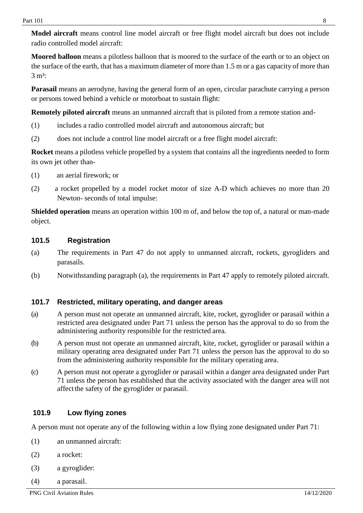**Model aircraft** means control line model aircraft or free flight model aircraft but does not include radio controlled model aircraft:

**Moored balloon** means a pilotless balloon that is moored to the surface of the earth or to an object on the surface of the earth, that has a maximum diameter of more than 1.5 m or a gas capacity of more than  $3 \text{ m}^3$ :

**Parasail** means an aerodyne, having the general form of an open, circular parachute carrying a person or persons towed behind a vehicle or motorboat to sustain flight:

**Remotely piloted aircraft** means an unmanned aircraft that is piloted from a remote station and-

- (1) includes a radio controlled model aircraft and autonomous aircraft; but
- (2) does not include a control line model aircraft or a free flight model aircraft:

**Rocket** means a pilotless vehicle propelled by a system that contains all the ingredients needed to form its own jet other than-

- (1) an aerial firework; or
- (2) a rocket propelled by a model rocket motor of size A-D which achieves no more than 20 Newton- seconds of total impulse:

**Shielded operation** means an operation within 100 m of, and below the top of, a natural or man-made object.

## <span id="page-7-0"></span>**101.5 Registration**

- (a) The requirements in Part 47 do not apply to unmanned aircraft, rockets, gyrogliders and parasails.
- (b) Notwithstanding paragraph (a), the requirements in Part 47 apply to remotely piloted aircraft.

## <span id="page-7-1"></span>**101.7 Restricted, military operating, and danger areas**

- (a) A person must not operate an unmanned aircraft, kite, rocket, gyroglider or parasail within a restricted area designated under Part 71 unless the person has the approval to do so from the administering authority responsible for the restricted area.
- (b) A person must not operate an unmanned aircraft, kite, rocket, gyroglider or parasail within a military operating area designated under Part 71 unless the person has the approval to do so from the administering authority responsible for the military operating area.
- (c) A person must not operate a gyroglider or parasail within a danger area designated under Part 71 unless the person has established that the activity associated with the danger area will not affectthe safety of the gyroglider or parasail.

## <span id="page-7-2"></span>**101.9 Low flying zones**

A person must not operate any of the following within a low flying zone designated under Part 71:

- (1) an unmanned aircraft:
- (2) a rocket:
- (3) a gyroglider:
- (4) a parasail.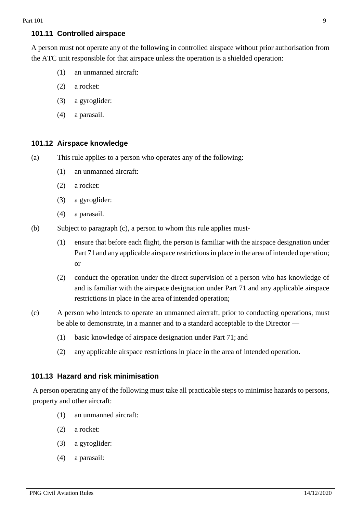## <span id="page-8-0"></span>**101.11 Controlled airspace**

A person must not operate any of the following in controlled airspace without prior authorisation from the ATC unit responsible for that airspace unless the operation is a shielded operation:

- (1) an unmanned aircraft:
- (2) a rocket:
- (3) a gyroglider:
- (4) a parasail.

## <span id="page-8-1"></span>**101.12 Airspace knowledge**

- (a) This rule applies to a person who operates any of the following:
	- (1) an unmanned aircraft:
	- (2) a rocket:
	- (3) a gyroglider:
	- (4) a parasail.
- (b) Subject to paragraph (c), a person to whom this rule applies must-
	- (1) ensure that before each flight, the person is familiar with the airspace designation under Part 71 and any applicable airspace restrictions in place in the area of intended operation; or
	- (2) conduct the operation under the direct supervision of a person who has knowledge of and is familiar with the airspace designation under Part 71 and any applicable airspace restrictions in place in the area of intended operation;
- (c) A person who intends to operate an unmanned aircraft, prior to conducting operations, must be able to demonstrate, in a manner and to a standard acceptable to the Director —
	- (1) basic knowledge of airspace designation under Part 71; and
	- (2) any applicable airspace restrictions in place in the area of intended operation.

## <span id="page-8-2"></span>**101.13 Hazard and risk minimisation**

A person operating any of the following must take all practicable steps to minimise hazards to persons, property and other aircraft:

- (1) an unmanned aircraft:
- (2) a rocket:
- (3) a gyroglider:
- (4) a parasail: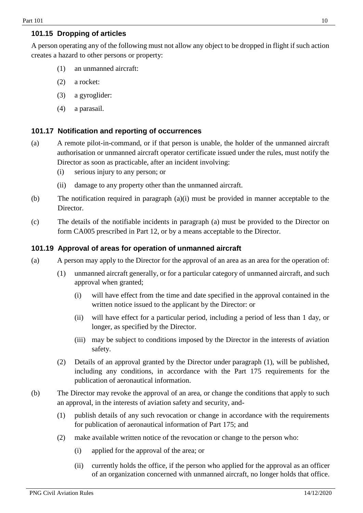## <span id="page-9-0"></span>**101.15 Dropping of articles**

A person operating any of the following must not allow any object to be dropped in flight if such action creates a hazard to other persons or property:

- (1) an unmanned aircraft:
- (2) a rocket:
- (3) a gyroglider:
- (4) a parasail.

## **101.17 Notification and reporting of occurrences**

- (a) A remote pilot-in-command, or if that person is unable, the holder of the unmanned aircraft authorisation or unmanned aircraft operator certificate issued under the rules, must notify the Director as soon as practicable, after an incident involving:
	- (i) serious injury to any person; or
	- (ii) damage to any property other than the unmanned aircraft.
- (b) The notification required in paragraph (a)(i) must be provided in manner acceptable to the Director.
- (c) The details of the notifiable incidents in paragraph (a) must be provided to the Director on form CA005 prescribed in Part 12, or by a means acceptable to the Director.

## **101.19 Approval of areas for operation of unmanned aircraft**

- (a) A person may apply to the Director for the approval of an area as an area for the operation of:
	- (1) unmanned aircraft generally, or for a particular category of unmanned aircraft, and such approval when granted;
		- (i) will have effect from the time and date specified in the approval contained in the written notice issued to the applicant by the Director: or
		- (ii) will have effect for a particular period, including a period of less than 1 day, or longer, as specified by the Director.
		- (iii) may be subject to conditions imposed by the Director in the interests of aviation safety.
	- (2) Details of an approval granted by the Director under paragraph (1), will be published, including any conditions, in accordance with the Part 175 requirements for the publication of aeronautical information.
- (b) The Director may revoke the approval of an area, or change the conditions that apply to such an approval, in the interests of aviation safety and security, and-
	- (1) publish details of any such revocation or change in accordance with the requirements for publication of aeronautical information of Part 175; and
	- (2) make available written notice of the revocation or change to the person who:
		- (i) applied for the approval of the area; or
		- (ii) currently holds the office, if the person who applied for the approval as an officer of an organization concerned with unmanned aircraft, no longer holds that office.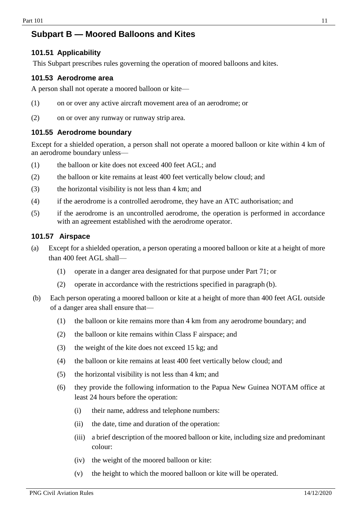## <span id="page-10-0"></span>**Subpart B — Moored Balloons and Kites**

## <span id="page-10-1"></span>**101.51 Applicability**

This Subpart prescribes rules governing the operation of moored balloons and kites.

#### <span id="page-10-2"></span>**101.53 Aerodrome area**

A person shall not operate a moored balloon or kite—

- (1) on or over any active aircraft movement area of an aerodrome; or
- (2) on or over any runway or runway strip area.

### <span id="page-10-3"></span>**101.55 Aerodrome boundary**

Except for a shielded operation, a person shall not operate a moored balloon or kite within 4 km of an aerodrome boundary unless—

- (1) the balloon or kite does not exceed 400 feet AGL; and
- (2) the balloon or kite remains at least 400 feet vertically below cloud; and
- (3) the horizontal visibility is not less than 4 km; and
- (4) if the aerodrome is a controlled aerodrome, they have an ATC authorisation; and
- (5) if the aerodrome is an uncontrolled aerodrome, the operation is performed in accordance with an agreement established with the aerodrome operator.

#### <span id="page-10-4"></span>**101.57 Airspace**

- (a) Except for a shielded operation, a person operating a moored balloon or kite at a height of more than 400 feet AGL shall—
	- (1) operate in a danger area designated for that purpose under Part 71; or
	- (2) operate in accordance with the restrictions specified in paragraph (b).
- (b) Each person operating a moored balloon or kite at a height of more than 400 feet AGL outside of a danger area shall ensure that—
	- (1) the balloon or kite remains more than 4 km from any aerodrome boundary; and
	- (2) the balloon or kite remains within Class F airspace; and
	- (3) the weight of the kite does not exceed 15 kg; and
	- (4) the balloon or kite remains at least 400 feet vertically below cloud; and
	- (5) the horizontal visibility is not less than 4 km; and
	- (6) they provide the following information to the Papua New Guinea NOTAM office at least 24 hours before the operation:
		- (i) their name, address and telephone numbers:
		- (ii) the date, time and duration of the operation:
		- (iii) a brief description of the moored balloon or kite, including size and predominant colour:
		- (iv) the weight of the moored balloon or kite:
		- (v) the height to which the moored balloon or kite will be operated.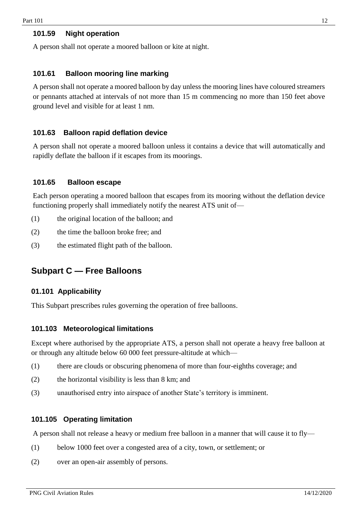#### <span id="page-11-0"></span>**101.59 Night operation**

A person shall not operate a moored balloon or kite at night.

#### <span id="page-11-1"></span>**101.61 Balloon mooring line marking**

A person shall not operate a moored balloon by day unless the mooring lines have coloured streamers or pennants attached at intervals of not more than 15 m commencing no more than 150 feet above ground level and visible for at least 1 nm.

## <span id="page-11-2"></span>**101.63 Balloon rapid deflation device**

A person shall not operate a moored balloon unless it contains a device that will automatically and rapidly deflate the balloon if it escapes from its moorings.

#### <span id="page-11-3"></span>**101.65 Balloon escape**

Each person operating a moored balloon that escapes from its mooring without the deflation device functioning properly shall immediately notify the nearest ATS unit of—

- (1) the original location of the balloon; and
- (2) the time the balloon broke free; and
- (3) the estimated flight path of the balloon.

## <span id="page-11-4"></span>**Subpart C — Free Balloons**

#### <span id="page-11-5"></span>**01.101 Applicability**

This Subpart prescribes rules governing the operation of free balloons.

#### <span id="page-11-6"></span>**101.103 Meteorological limitations**

Except where authorised by the appropriate ATS, a person shall not operate a heavy free balloon at or through any altitude below 60 000 feet pressure-altitude at which—

- (1) there are clouds or obscuring phenomena of more than four-eighths coverage; and
- (2) the horizontal visibility is less than 8 km; and
- (3) unauthorised entry into airspace of another State's territory is imminent.

#### <span id="page-11-7"></span>**101.105 Operating limitation**

A person shall not release a heavy or medium free balloon in a manner that will cause it to fly—

- (1) below 1000 feet over a congested area of a city, town, or settlement; or
- (2) over an open-air assembly of persons.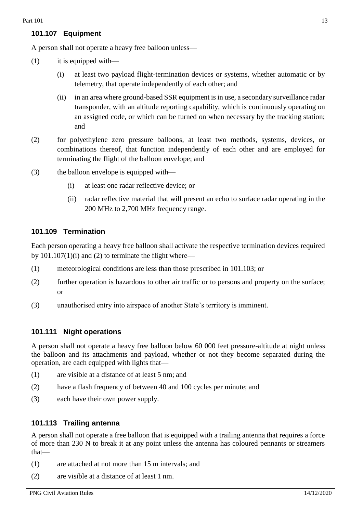## <span id="page-12-0"></span>**101.107 Equipment**

A person shall not operate a heavy free balloon unless—

- (1) it is equipped with—
	- (i) at least two payload flight-termination devices or systems, whether automatic or by telemetry, that operate independently of each other; and
	- (ii) in an area where ground-based SSR equipment is in use, a secondary surveillance radar transponder, with an altitude reporting capability, which is continuously operating on an assigned code, or which can be turned on when necessary by the tracking station; and
- (2) for polyethylene zero pressure balloons, at least two methods, systems, devices, or combinations thereof, that function independently of each other and are employed for terminating the flight of the balloon envelope; and
- (3) the balloon envelope is equipped with—
	- (i) at least one radar reflective device; or
	- (ii) radar reflective material that will present an echo to surface radar operating in the 200 MHz to 2,700 MHz frequency range.

#### <span id="page-12-1"></span>**101.109 Termination**

Each person operating a heavy free balloon shall activate the respective termination devices required by  $101.107(1)(i)$  and (2) to terminate the flight where—

- (1) meteorological conditions are less than those prescribed in 101.103; or
- (2) further operation is hazardous to other air traffic or to persons and property on the surface; or
- (3) unauthorised entry into airspace of another State's territory is imminent.

#### <span id="page-12-2"></span>**101.111 Night operations**

A person shall not operate a heavy free balloon below 60 000 feet pressure-altitude at night unless the balloon and its attachments and payload, whether or not they become separated during the operation, are each equipped with lights that—

- (1) are visible at a distance of at least 5 nm; and
- (2) have a flash frequency of between 40 and 100 cycles per minute; and
- (3) each have their own power supply.

#### <span id="page-12-3"></span>**101.113 Trailing antenna**

A person shall not operate a free balloon that is equipped with a trailing antenna that requires a force of more than 230 N to break it at any point unless the antenna has coloured pennants or streamers that—

- (1) are attached at not more than 15 m intervals; and
- (2) are visible at a distance of at least 1 nm.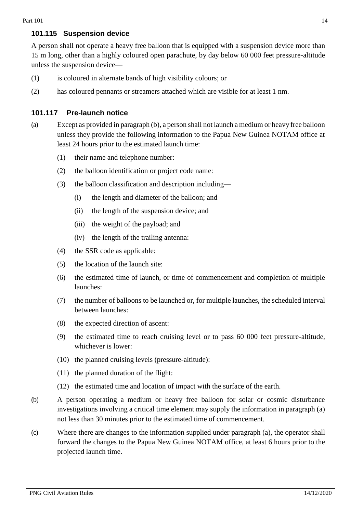### <span id="page-13-0"></span>**101.115 Suspension device**

A person shall not operate a heavy free balloon that is equipped with a suspension device more than 15 m long, other than a highly coloured open parachute, by day below 60 000 feet pressure-altitude unless the suspension device—

- (1) is coloured in alternate bands of high visibility colours; or
- (2) has coloured pennants or streamers attached which are visible for at least 1 nm.

## <span id="page-13-1"></span>**101.117 Pre-launch notice**

- (a) Except as provided in paragraph (b), a person shall not launch a medium or heavy free balloon unless they provide the following information to the Papua New Guinea NOTAM office at least 24 hours prior to the estimated launch time:
	- (1) their name and telephone number:
	- (2) the balloon identification or project code name:
	- (3) the balloon classification and description including—
		- (i) the length and diameter of the balloon; and
		- (ii) the length of the suspension device; and
		- (iii) the weight of the payload; and
		- (iv) the length of the trailing antenna:
	- (4) the SSR code as applicable:
	- (5) the location of the launch site:
	- (6) the estimated time of launch, or time of commencement and completion of multiple launches:
	- (7) the number of balloons to be launched or, for multiple launches, the scheduled interval between launches:
	- (8) the expected direction of ascent:
	- (9) the estimated time to reach cruising level or to pass 60 000 feet pressure-altitude, whichever is lower:
	- (10) the planned cruising levels (pressure-altitude):
	- (11) the planned duration of the flight:
	- (12) the estimated time and location of impact with the surface of the earth.
- (b) A person operating a medium or heavy free balloon for solar or cosmic disturbance investigations involving a critical time element may supply the information in paragraph (a) not less than 30 minutes prior to the estimated time of commencement.
- (c) Where there are changes to the information supplied under paragraph (a), the operator shall forward the changes to the Papua New Guinea NOTAM office, at least 6 hours prior to the projected launch time.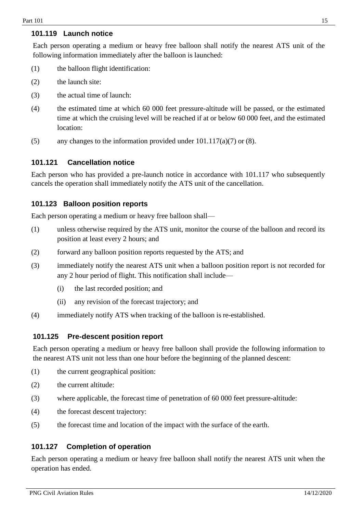## <span id="page-14-0"></span>**101.119 Launch notice**

Each person operating a medium or heavy free balloon shall notify the nearest ATS unit of the following information immediately after the balloon is launched:

- (1) the balloon flight identification:
- (2) the launch site:
- (3) the actual time of launch:
- (4) the estimated time at which 60 000 feet pressure-altitude will be passed, or the estimated time at which the cruising level will be reached if at or below 60 000 feet, and the estimated location:
- (5) any changes to the information provided under  $101.117(a)(7)$  or  $(8)$ .

## <span id="page-14-1"></span>**101.121 Cancellation notice**

Each person who has provided a pre-launch notice in accordance with 101.117 who subsequently cancels the operation shall immediately notify the ATS unit of the cancellation.

## <span id="page-14-2"></span>**101.123 Balloon position reports**

Each person operating a medium or heavy free balloon shall—

- (1) unless otherwise required by the ATS unit, monitor the course of the balloon and record its position at least every 2 hours; and
- (2) forward any balloon position reports requested by the ATS; and
- (3) immediately notify the nearest ATS unit when a balloon position report is not recorded for any 2 hour period of flight. This notification shall include—
	- (i) the last recorded position; and
	- (ii) any revision of the forecast trajectory; and
- (4) immediately notify ATS when tracking of the balloon is re-established.

#### <span id="page-14-3"></span>**101.125 Pre-descent position report**

Each person operating a medium or heavy free balloon shall provide the following information to the nearest ATS unit not less than one hour before the beginning of the planned descent:

- (1) the current geographical position:
- (2) the current altitude:
- (3) where applicable, the forecast time of penetration of 60 000 feet pressure-altitude:
- (4) the forecast descent trajectory:
- (5) the forecast time and location of the impact with the surface of the earth.

#### <span id="page-14-4"></span>**101.127 Completion of operation**

Each person operating a medium or heavy free balloon shall notify the nearest ATS unit when the operation has ended.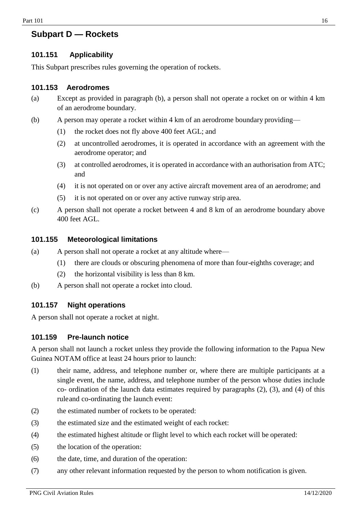## <span id="page-15-0"></span>**Subpart D — Rockets**

## <span id="page-15-1"></span>**101.151 Applicability**

This Subpart prescribes rules governing the operation of rockets.

#### <span id="page-15-2"></span>**101.153 Aerodromes**

- (a) Except as provided in paragraph (b), a person shall not operate a rocket on or within 4 km of an aerodrome boundary.
- (b) A person may operate a rocket within 4 km of an aerodrome boundary providing—
	- (1) the rocket does not fly above 400 feet AGL; and
	- (2) at uncontrolled aerodromes, it is operated in accordance with an agreement with the aerodrome operator; and
	- (3) at controlled aerodromes, it is operated in accordance with an authorisation from ATC; and
	- (4) it is not operated on or over any active aircraft movement area of an aerodrome; and
	- (5) it is not operated on or over any active runway strip area.
- (c) A person shall not operate a rocket between 4 and 8 km of an aerodrome boundary above 400 feet AGL.

#### <span id="page-15-3"></span>**101.155 Meteorological limitations**

- (a) A person shall not operate a rocket at any altitude where—
	- (1) there are clouds or obscuring phenomena of more than four-eighths coverage; and
	- (2) the horizontal visibility is less than 8 km.
- (b) A person shall not operate a rocket into cloud.

#### <span id="page-15-4"></span>**101.157 Night operations**

A person shall not operate a rocket at night.

#### <span id="page-15-5"></span>**101.159 Pre-launch notice**

A person shall not launch a rocket unless they provide the following information to the Papua New Guinea NOTAM office at least 24 hours prior to launch:

- (1) their name, address, and telephone number or, where there are multiple participants at a single event, the name, address, and telephone number of the person whose duties include co- ordination of the launch data estimates required by paragraphs (2), (3), and (4) of this ruleand co-ordinating the launch event:
- (2) the estimated number of rockets to be operated:
- (3) the estimated size and the estimated weight of each rocket:
- (4) the estimated highest altitude or flight level to which each rocket will be operated:
- (5) the location of the operation:
- (6) the date, time, and duration of the operation:
- (7) any other relevant information requested by the person to whom notification is given.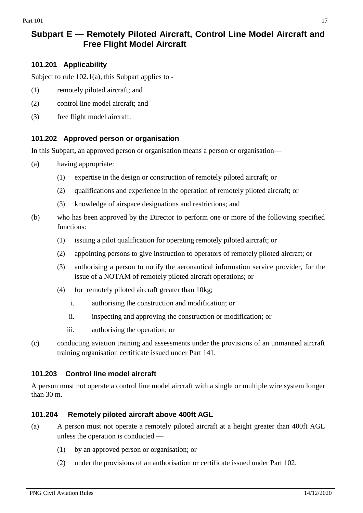## <span id="page-16-0"></span>**Subpart E — Remotely Piloted Aircraft, Control Line Model Aircraft and Free Flight Model Aircraft**

## <span id="page-16-1"></span>**101.201 Applicability**

Subject to rule 102.1(a), this Subpart applies to -

- (1) remotely piloted aircraft; and
- (2) control line model aircraft; and
- (3) free flight model aircraft.

## <span id="page-16-2"></span>**101.202 Approved person or organisation**

In this Subpart**,** an approved person or organisation means a person or organisation—

- (a) having appropriate:
	- (1) expertise in the design or construction of remotely piloted aircraft; or
	- (2) qualifications and experience in the operation of remotely piloted aircraft; or
	- (3) knowledge of airspace designations and restrictions; and
- (b) who has been approved by the Director to perform one or more of the following specified functions:
	- (1) issuing a pilot qualification for operating remotely piloted aircraft; or
	- (2) appointing persons to give instruction to operators of remotely piloted aircraft; or
	- (3) authorising a person to notify the aeronautical information service provider, for the issue of a NOTAM of remotely piloted aircraft operations; or
	- (4) for remotely piloted aircraft greater than 10kg;
		- i. authorising the construction and modification; or
		- ii. inspecting and approving the construction or modification; or
		- iii. authorising the operation; or
- (c) conducting aviation training and assessments under the provisions of an unmanned aircraft training organisation certificate issued under Part 141.

#### <span id="page-16-3"></span>**101.203 Control line model aircraft**

A person must not operate a control line model aircraft with a single or multiple wire system longer than 30 m.

## **101.204 Remotely piloted aircraft above 400ft AGL**

- (a) A person must not operate a remotely piloted aircraft at a height greater than 400ft AGL unless the operation is conducted —
	- (1) by an approved person or organisation; or
	- (2) under the provisions of an authorisation or certificate issued under Part 102.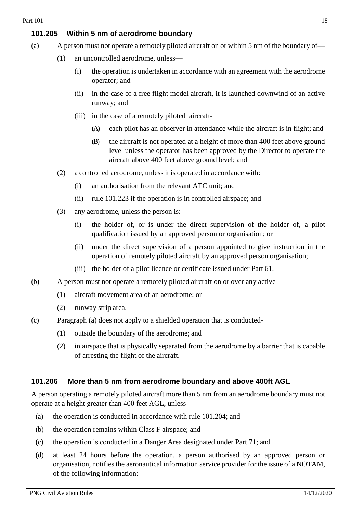## <span id="page-17-0"></span>**101.205 Within 5 nm of aerodrome boundary**

- (a) A person must not operate a remotely piloted aircraft on or within 5 nm of the boundary of—
	- (1) an uncontrolled aerodrome, unless—
		- (i) the operation is undertaken in accordance with an agreement with the aerodrome operator; and
		- (ii) in the case of a free flight model aircraft, it is launched downwind of an active runway; and
		- (iii) in the case of a remotely piloted aircraft-
			- (A) each pilot has an observer in attendance while the aircraft is in flight; and
			- (B) the aircraft is not operated at a height of more than 400 feet above ground level unless the operator has been approved by the Director to operate the aircraft above 400 feet above ground level; and
	- (2) a controlled aerodrome, unless it is operated in accordance with:
		- (i) an authorisation from the relevant ATC unit; and
		- (ii) rule 101.223 if the operation is in controlled airspace; and
	- (3) any aerodrome, unless the person is:
		- (i) the holder of, or is under the direct supervision of the holder of, a pilot qualification issued by an approved person or organisation; or
		- (ii) under the direct supervision of a person appointed to give instruction in the operation of remotely piloted aircraft by an approved person organisation;
		- (iii) the holder of a pilot licence or certificate issued under Part 61.
- (b) A person must not operate a remotely piloted aircraft on or over any active—
	- (1) aircraft movement area of an aerodrome; or
	- (2) runway strip area.
- (c) Paragraph (a) does not apply to a shielded operation that is conducted-
	- (1) outside the boundary of the aerodrome; and
	- (2) in airspace that is physically separated from the aerodrome by a barrier that is capable of arresting the flight of the aircraft.

#### **101.206 More than 5 nm from aerodrome boundary and above 400ft AGL**

A person operating a remotely piloted aircraft more than 5 nm from an aerodrome boundary must not operate at a height greater than 400 feet AGL, unless —

- (a) the operation is conducted in accordance with rule 101.204; and
- (b) the operation remains within Class F airspace; and
- (c) the operation is conducted in a Danger Area designated under Part 71; and
- (d) at least 24 hours before the operation, a person authorised by an approved person or organisation, notifies the aeronautical information service provider for the issue of a NOTAM, of the following information: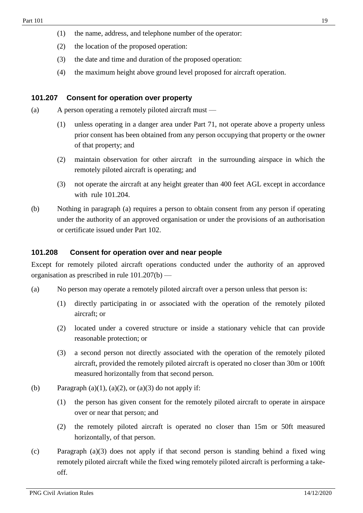- (1) the name, address, and telephone number of the operator:
- (2) the location of the proposed operation:
- (3) the date and time and duration of the proposed operation:
- (4) the maximum height above ground level proposed for aircraft operation.

#### <span id="page-18-0"></span>**101.207 Consent for operation over property**

- (a) A person operating a remotely piloted aircraft must
	- (1) unless operating in a danger area under Part 71, not operate above a property unless prior consent has been obtained from any person occupying that property or the owner of that property; and
	- (2) maintain observation for other aircraft in the surrounding airspace in which the remotely piloted aircraft is operating; and
	- (3) not operate the aircraft at any height greater than 400 feet AGL except in accordance with rule 101.204.
- (b) Nothing in paragraph (a) requires a person to obtain consent from any person if operating under the authority of an approved organisation or under the provisions of an authorisation or certificate issued under Part 102.

#### **101.208 Consent for operation over and near people**

Except for remotely piloted aircraft operations conducted under the authority of an approved organisation as prescribed in rule  $101.207(b)$  —

- (a) No person may operate a remotely piloted aircraft over a person unless that person is:
	- (1) directly participating in or associated with the operation of the remotely piloted aircraft; or
	- (2) located under a covered structure or inside a stationary vehicle that can provide reasonable protection; or
	- (3) a second person not directly associated with the operation of the remotely piloted aircraft, provided the remotely piloted aircraft is operated no closer than 30m or 100ft measured horizontally from that second person.
- (b) Paragraph (a)(1), (a)(2), or (a)(3) do not apply if:
	- (1) the person has given consent for the remotely piloted aircraft to operate in airspace over or near that person; and
	- (2) the remotely piloted aircraft is operated no closer than 15m or 50ft measured horizontally, of that person.
- (c) Paragraph (a)(3) does not apply if that second person is standing behind a fixed wing remotely piloted aircraft while the fixed wing remotely piloted aircraft is performing a takeoff.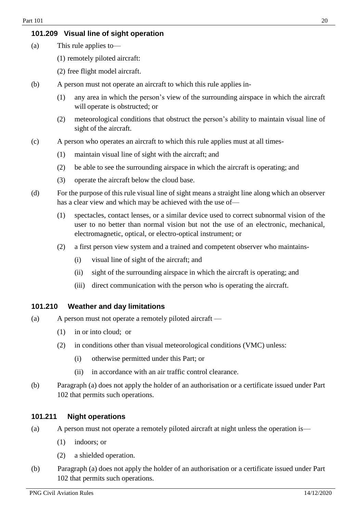## <span id="page-19-0"></span>**101.209 Visual line of sight operation**

- (a) This rule applies to—
	- (1) remotely piloted aircraft:
	- (2) free flight model aircraft.
- (b) A person must not operate an aircraft to which this rule applies in-
	- (1) any area in which the person's view of the surrounding airspace in which the aircraft will operate is obstructed; or
	- (2) meteorological conditions that obstruct the person's ability to maintain visual line of sight of the aircraft.
- (c) A person who operates an aircraft to which this rule applies must at all times-
	- (1) maintain visual line of sight with the aircraft; and
	- (2) be able to see the surrounding airspace in which the aircraft is operating; and
	- (3) operate the aircraft below the cloud base.
- (d) For the purpose of this rule visual line of sight means a straight line along which an observer has a clear view and which may be achieved with the use of—
	- (1) spectacles, contact lenses, or a similar device used to correct subnormal vision of the user to no better than normal vision but not the use of an electronic, mechanical, electromagnetic, optical, or electro-optical instrument; or
	- (2) a first person view system and a trained and competent observer who maintains-
		- (i) visual line of sight of the aircraft; and
		- (ii) sight of the surrounding airspace in which the aircraft is operating; and
		- (iii) direct communication with the person who is operating the aircraft.

#### **101.210 Weather and day limitations**

- (a) A person must not operate a remotely piloted aircraft
	- (1) in or into cloud; or
	- (2) in conditions other than visual meteorological conditions (VMC) unless:
		- (i) otherwise permitted under this Part; or
		- (ii) in accordance with an air traffic control clearance.
- (b) Paragraph (a) does not apply the holder of an authorisation or a certificate issued under Part 102 that permits such operations.

## <span id="page-19-1"></span>**101.211 Night operations**

- (a) A person must not operate a remotely piloted aircraft at night unless the operation is—
	- (1) indoors; or
	- (2) a shielded operation.
- (b) Paragraph (a) does not apply the holder of an authorisation or a certificate issued under Part 102 that permits such operations.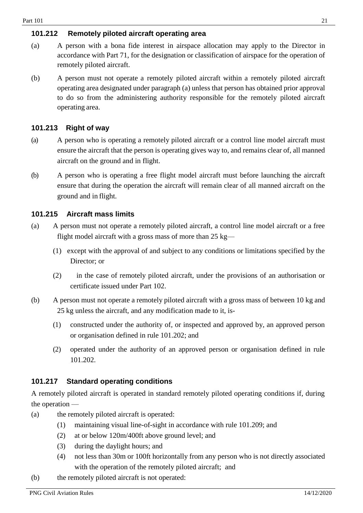## **101.212 Remotely piloted aircraft operating area**

- (a) A person with a bona fide interest in airspace allocation may apply to the Director in accordance with Part 71, for the designation or classification of airspace for the operation of remotely piloted aircraft.
- (b) A person must not operate a remotely piloted aircraft within a remotely piloted aircraft operating area designated under paragraph (a) unless that person has obtained prior approval to do so from the administering authority responsible for the remotely piloted aircraft operating area.

## <span id="page-20-0"></span>**101.213 Right of way**

- (a) A person who is operating a remotely piloted aircraft or a control line model aircraft must ensure the aircraft that the person is operating gives way to, and remains clear of, all manned aircraft on the ground and in flight.
- (b) A person who is operating a free flight model aircraft must before launching the aircraft ensure that during the operation the aircraft will remain clear of all manned aircraft on the ground and in flight.

## <span id="page-20-1"></span>**101.215 Aircraft mass limits**

- (a) A person must not operate a remotely piloted aircraft, a control line model aircraft or a free flight model aircraft with a gross mass of more than 25 kg—
	- (1) except with the approval of and subject to any conditions or limitations specified by the Director; or
	- (2) in the case of remotely piloted aircraft, under the provisions of an authorisation or certificate issued under Part 102.
- (b) A person must not operate a remotely piloted aircraft with a gross mass of between 10 kg and 25 kg unless the aircraft, and any modification made to it, is-
	- (1) constructed under the authority of, or inspected and approved by, an approved person or organisation defined in rule 101.202; and
	- (2) operated under the authority of an approved person or organisation defined in rule 101.202.

## **101.217 Standard operating conditions**

A remotely piloted aircraft is operated in standard remotely piloted operating conditions if, during the operation —

- (a) the remotely piloted aircraft is operated:
	- (1) maintaining visual line-of-sight in accordance with rule 101.209; and
	- (2) at or below 120m/400ft above ground level; and
	- (3) during the daylight hours; and
	- (4) not less than 30m or 100ft horizontally from any person who is not directly associated with the operation of the remotely piloted aircraft; and
- (b) the remotely piloted aircraft is not operated: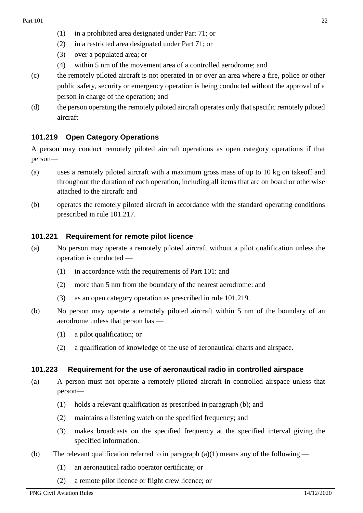- (1) in a prohibited area designated under Part 71; or
- (2) in a restricted area designated under Part 71; or
- (3) over a populated area; or
- (4) within 5 nm of the movement area of a controlled aerodrome; and
- (c) the remotely piloted aircraft is not operated in or over an area where a fire, police or other public safety, security or emergency operation is being conducted without the approval of a person in charge of the operation; and
- (d) the person operating the remotely piloted aircraft operates only that specific remotely piloted aircraft

## **101.219 Open Category Operations**

A person may conduct remotely piloted aircraft operations as open category operations if that person—

- (a) uses a remotely piloted aircraft with a maximum gross mass of up to 10 kg on takeoff and throughout the duration of each operation, including all items that are on board or otherwise attached to the aircraft: and
- (b) operates the remotely piloted aircraft in accordance with the standard operating conditions prescribed in rule 101.217.

#### **101.221 Requirement for remote pilot licence**

- (a) No person may operate a remotely piloted aircraft without a pilot qualification unless the operation is conducted —
	- (1) in accordance with the requirements of Part 101: and
	- (2) more than 5 nm from the boundary of the nearest aerodrome: and
	- (3) as an open category operation as prescribed in rule 101.219.
- (b) No person may operate a remotely piloted aircraft within 5 nm of the boundary of an aerodrome unless that person has —
	- (1) a pilot qualification; or
	- (2) a qualification of knowledge of the use of aeronautical charts and airspace.

#### **101.223 Requirement for the use of aeronautical radio in controlled airspace**

- (a) A person must not operate a remotely piloted aircraft in controlled airspace unless that person—
	- (1) holds a relevant qualification as prescribed in paragraph (b); and
	- (2) maintains a listening watch on the specified frequency; and
	- (3) makes broadcasts on the specified frequency at the specified interval giving the specified information.
- (b) The relevant qualification referred to in paragraph  $(a)(1)$  means any of the following
	- (1) an aeronautical radio operator certificate; or
	- (2) a remote pilot licence or flight crew licence; or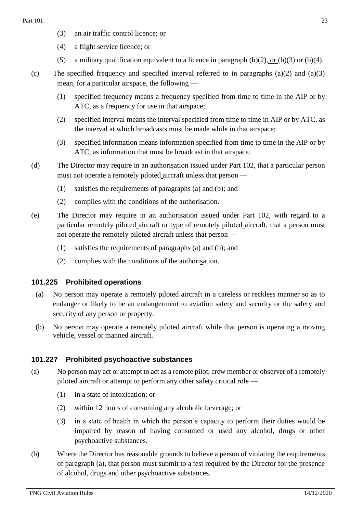- (3) an air traffic control licence; or
- (4) a flight service licence; or
- (5) a military qualification equivalent to a licence in paragraph (b)(2), or (b)(3) or (b)(4).
- (c) The specified frequency and specified interval referred to in paragraphs  $(a)(2)$  and  $(a)(3)$ mean, for a particular airspace, the following —
	- (1) specified frequency means a frequency specified from time to time in the AIP or by ATC, as a frequency for use in that airspace;
	- (2) specified interval means the interval specified from time to time in AIP or by ATC, as the interval at which broadcasts must be made while in that airspace;
	- (3) specified information means information specified from time to time in the AIP or by ATC, as information that must be broadcast in that airspace.
- (d) The Director may require in an authorisation issued under Part 102, that a particular person must not operate a remotely piloted aircraft unless that person —
	- (1) satisfies the requirements of paragraphs (a) and (b); and
	- (2) complies with the conditions of the authorisation.
- (e) The Director may require in an authorisation issued under Part 102, with regard to a particular remotely piloted aircraft or type of remotely piloted aircraft, that a person must not operate the remotely piloted aircraft unless that person —
	- (1) satisfies the requirements of paragraphs (a) and (b); and
	- (2) complies with the conditions of the authorisation.

#### **101.225 Prohibited operations**

- (a) No person may operate a remotely piloted aircraft in a careless or reckless manner so as to endanger or likely to be an endangerment to aviation safety and security or the safety and security of any person or property.
- (b) No person may operate a remotely piloted aircraft while that person is operating a moving vehicle, vessel or manned aircraft.

## **101.227 Prohibited psychoactive substances**

- (a) No person may act or attempt to act as a remote pilot, crew member or observer of a remotely piloted aircraft or attempt to perform any other safety critical role —
	- (1) in a state of intoxication; or
	- (2) within 12 hours of consuming any alcoholic beverage; or
	- (3) in a state of health in which the person's capacity to perform their duties would be impaired by reason of having consumed or used any alcohol, drugs or other psychoactive substances.
- (b) Where the Director has reasonable grounds to believe a person of violating the requirements of paragraph (a), that person must submit to a test required by the Director for the presence of alcohol, drugs and other psychoactive substances.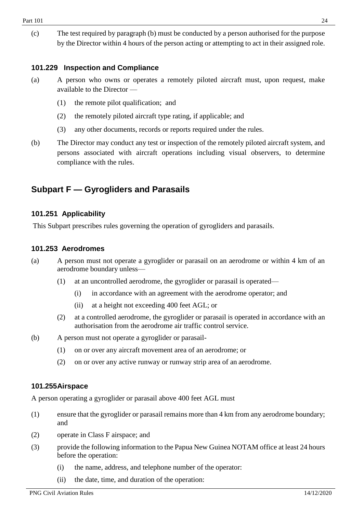(c) The test required by paragraph (b) must be conducted by a person authorised for the purpose by the Director within 4 hours of the person acting or attempting to act in their assigned role.

## **101.229 Inspection and Compliance**

- (a) A person who owns or operates a remotely piloted aircraft must, upon request, make available to the Director —
	- (1) the remote pilot qualification; and
	- (2) the remotely piloted aircraft type rating, if applicable; and
	- (3) any other documents, records or reports required under the rules.
- (b) The Director may conduct any test or inspection of the remotely piloted aircraft system, and persons associated with aircraft operations including visual observers, to determine compliance with the rules.

## <span id="page-23-0"></span>**Subpart F — Gyrogliders and Parasails**

## <span id="page-23-1"></span>**101.251 Applicability**

This Subpart prescribes rules governing the operation of gyrogliders and parasails.

#### <span id="page-23-2"></span>**101.253 Aerodromes**

- (a) A person must not operate a gyroglider or parasail on an aerodrome or within 4 km of an aerodrome boundary unless—
	- (1) at an uncontrolled aerodrome, the gyroglider or parasail is operated—
		- (i) in accordance with an agreement with the aerodrome operator; and
		- (ii) at a height not exceeding 400 feet AGL; or
	- (2) at a controlled aerodrome, the gyroglider or parasail is operated in accordance with an authorisation from the aerodrome air traffic control service.
- (b) A person must not operate a gyroglider or parasail-
	- (1) on or over any aircraft movement area of an aerodrome; or
	- (2) on or over any active runway or runway strip area of an aerodrome.

#### <span id="page-23-3"></span>**101.255Airspace**

A person operating a gyroglider or parasail above 400 feet AGL must

- (1) ensure that the gyroglider or parasail remains more than 4 km from any aerodrome boundary; and
- (2) operate in Class F airspace; and
- (3) provide the following information to the Papua New Guinea NOTAM office at least 24 hours before the operation:
	- (i) the name, address, and telephone number of the operator:
	- (ii) the date, time, and duration of the operation: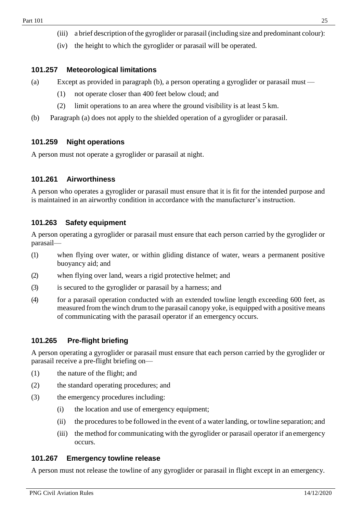- (iii) a brief description of the gyroglider or parasail (including size and predominant colour):
- (iv) the height to which the gyroglider or parasail will be operated.

#### <span id="page-24-0"></span>**101.257 Meteorological limitations**

- (a) Except as provided in paragraph (b), a person operating a gyroglider or parasail must
	- (1) not operate closer than 400 feet below cloud; and
	- (2) limit operations to an area where the ground visibility is at least 5 km.
- (b) Paragraph (a) does not apply to the shielded operation of a gyroglider or parasail.

#### <span id="page-24-1"></span>**101.259 Night operations**

A person must not operate a gyroglider or parasail at night.

## <span id="page-24-2"></span>**101.261 Airworthiness**

A person who operates a gyroglider or parasail must ensure that it is fit for the intended purpose and is maintained in an airworthy condition in accordance with the manufacturer's instruction.

#### <span id="page-24-3"></span>**101.263 Safety equipment**

A person operating a gyroglider or parasail must ensure that each person carried by the gyroglider or parasail—

- (1) when flying over water, or within gliding distance of water, wears a permanent positive buoyancy aid; and
- (2) when flying over land, wears a rigid protective helmet; and
- (3) is secured to the gyroglider or parasail by a harness; and
- (4) for a parasail operation conducted with an extended towline length exceeding 600 feet, as measured from the winch drum to the parasail canopy yoke, is equipped with a positive means of communicating with the parasail operator if an emergency occurs.

#### <span id="page-24-4"></span>**101.265 Pre-flight briefing**

A person operating a gyroglider or parasail must ensure that each person carried by the gyroglider or parasail receive a pre-flight briefing on—

- (1) the nature of the flight; and
- (2) the standard operating procedures; and
- (3) the emergency procedures including:
	- (i) the location and use of emergency equipment;
	- (ii) the procedures to be followed in the event of a water landing, or towline separation; and
	- (iii) the method for communicating with the gyroglider or parasail operator if anemergency occurs.

#### <span id="page-24-5"></span>**101.267 Emergency towline release**

A person must not release the towline of any gyroglider or parasail in flight except in an emergency.